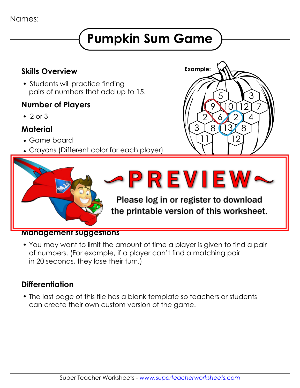#### Names:

# **Pumpkin Sum Game**

# **Example: Skills Overview**

• Students will practice finding pairs of numbers that add up to 15.

#### **Number of Players**

 $\bullet$  2 or 3

## **Material**

Game board

**How to play**

Crayons (Different color for each player)

adjacent sum of 15. Adjacent squares that have a sum of 15.

Each player chooses a different color crayon.

Players take turns finding and coloring pairs of

 $\blacksquare$  Figure 1 may construct the shape in the registre



#### the printable version of this worksheet. joining shapes with the numbers 13 and 2.)

#### **Management suggestions**

 You may want to limit the amount of time a player is given to find a pair of numbers. (For example, if a player can't find a matching pair in 20 seconds, they lose their turn.)

### **Differentiation**

 The last page of this file has a blank template so teachers or students can create their own custom version of the game.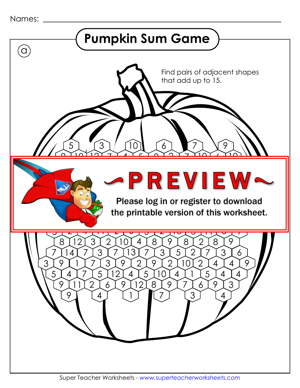```
Names:
```
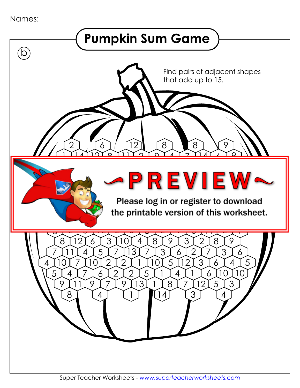```
Names:
```
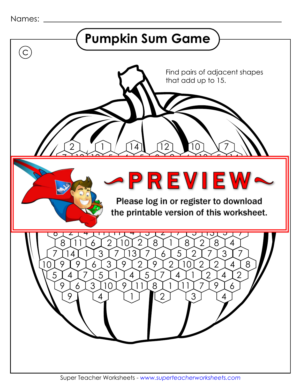```
Names:
```
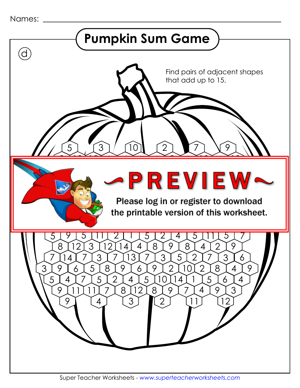```
Names:
```
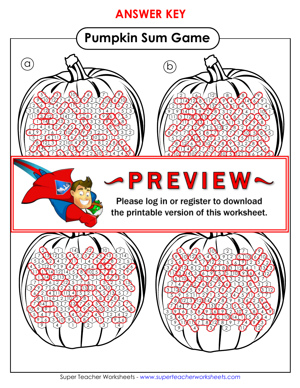# **ANSWER KEY**